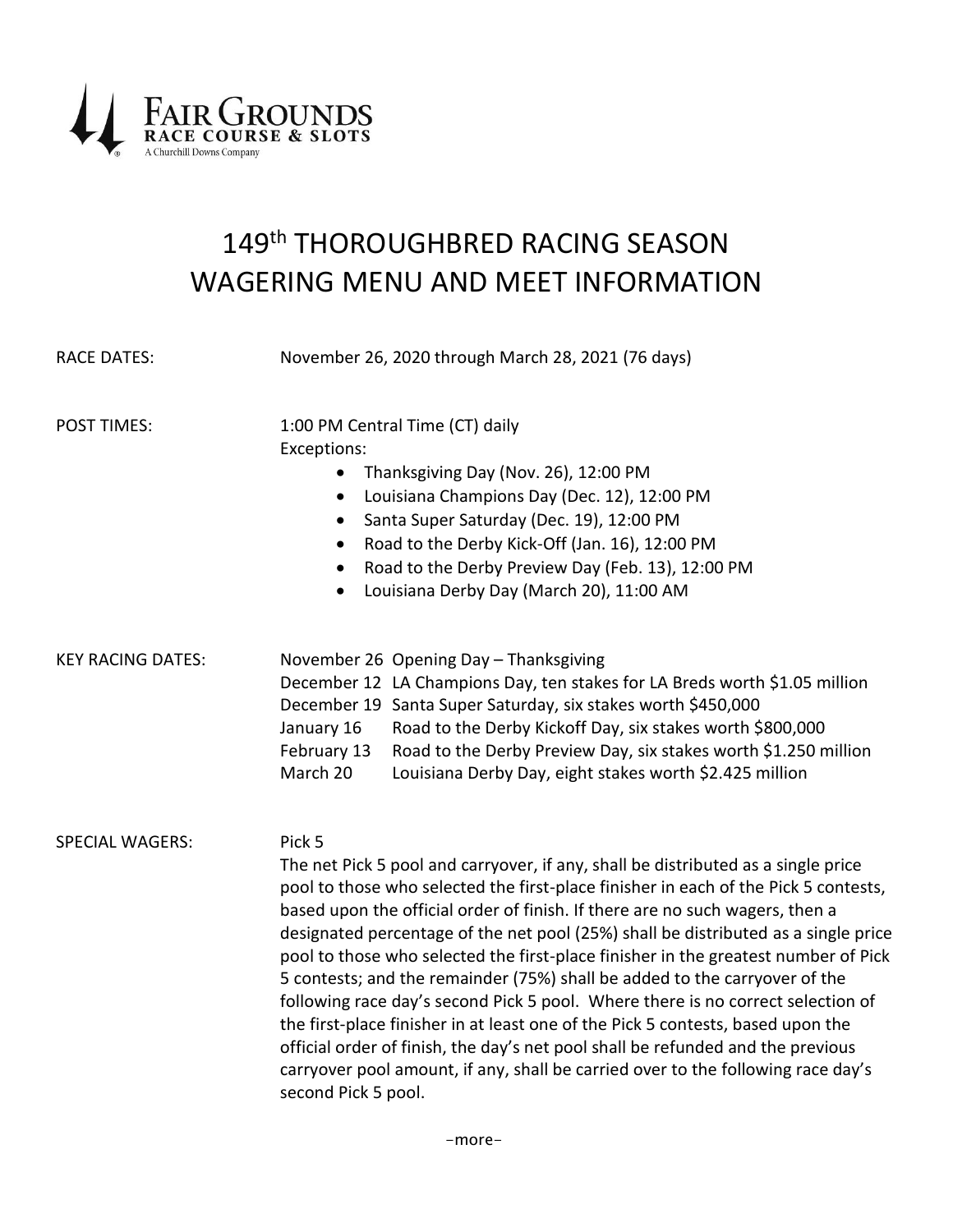

# 149<sup>th</sup> THOROUGHBRED RACING SEASON WAGERING MENU AND MEET INFORMATION

| <b>RACE DATES:</b>       | November 26, 2020 through March 28, 2021 (76 days)                                                                                                                                                                                                                                                                                                                                                                                                                                                                                                                                                                                                                                                                                                                                                                                                                                               |
|--------------------------|--------------------------------------------------------------------------------------------------------------------------------------------------------------------------------------------------------------------------------------------------------------------------------------------------------------------------------------------------------------------------------------------------------------------------------------------------------------------------------------------------------------------------------------------------------------------------------------------------------------------------------------------------------------------------------------------------------------------------------------------------------------------------------------------------------------------------------------------------------------------------------------------------|
| <b>POST TIMES:</b>       | 1:00 PM Central Time (CT) daily<br>Exceptions:<br>Thanksgiving Day (Nov. 26), 12:00 PM<br>$\bullet$<br>Louisiana Champions Day (Dec. 12), 12:00 PM<br>$\bullet$<br>Santa Super Saturday (Dec. 19), 12:00 PM<br>$\bullet$<br>Road to the Derby Kick-Off (Jan. 16), 12:00 PM<br>$\bullet$<br>Road to the Derby Preview Day (Feb. 13), 12:00 PM<br>$\bullet$<br>Louisiana Derby Day (March 20), 11:00 AM<br>$\bullet$                                                                                                                                                                                                                                                                                                                                                                                                                                                                               |
| <b>KEY RACING DATES:</b> | November 26 Opening Day - Thanksgiving<br>December 12 LA Champions Day, ten stakes for LA Breds worth \$1.05 million<br>December 19 Santa Super Saturday, six stakes worth \$450,000<br>Road to the Derby Kickoff Day, six stakes worth \$800,000<br>January 16<br>February 13<br>Road to the Derby Preview Day, six stakes worth \$1.250 million<br>March 20<br>Louisiana Derby Day, eight stakes worth \$2.425 million                                                                                                                                                                                                                                                                                                                                                                                                                                                                         |
| <b>SPECIAL WAGERS:</b>   | Pick 5<br>The net Pick 5 pool and carryover, if any, shall be distributed as a single price<br>pool to those who selected the first-place finisher in each of the Pick 5 contests,<br>based upon the official order of finish. If there are no such wagers, then a<br>designated percentage of the net pool (25%) shall be distributed as a single price<br>pool to those who selected the first-place finisher in the greatest number of Pick<br>5 contests; and the remainder (75%) shall be added to the carryover of the<br>following race day's second Pick 5 pool. Where there is no correct selection of<br>the first-place finisher in at least one of the Pick 5 contests, based upon the<br>official order of finish, the day's net pool shall be refunded and the previous<br>carryover pool amount, if any, shall be carried over to the following race day's<br>second Pick 5 pool. |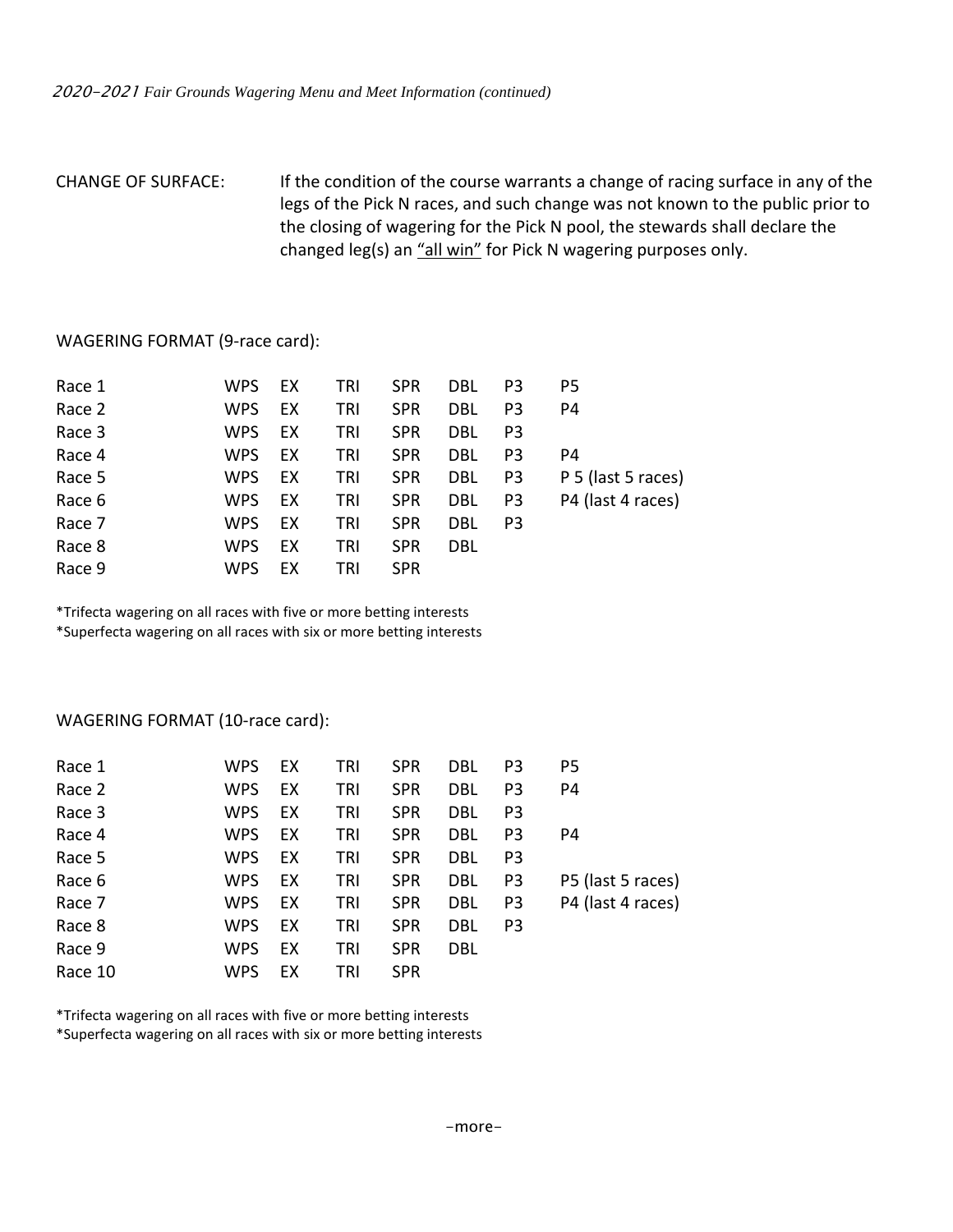## CHANGE OF SURFACE: If the condition of the course warrants a change of racing surface in any of the legs of the Pick N races, and such change was not known to the public prior to the closing of wagering for the Pick N pool, the stewards shall declare the changed leg(s) an "all win" for Pick N wagering purposes only.

#### WAGERING FORMAT (9-race card):

| Race 1 | WPS.       | EX | TRI | <b>SPR</b> | DBL        | P3             | P5                 |
|--------|------------|----|-----|------------|------------|----------------|--------------------|
| Race 2 | <b>WPS</b> | EX | TRI | <b>SPR</b> | DBL        | P <sub>3</sub> | P4                 |
| Race 3 | <b>WPS</b> | EX | TRI | <b>SPR</b> | <b>DBL</b> | P3             |                    |
| Race 4 | <b>WPS</b> | EX | TRI | <b>SPR</b> | DBL        | P3             | P4                 |
| Race 5 | <b>WPS</b> | EX | TRI | <b>SPR</b> | DBL        | P3             | P 5 (last 5 races) |
| Race 6 | <b>WPS</b> | EX | TRI | <b>SPR</b> | DBL        | P3             | P4 (last 4 races)  |
| Race 7 | <b>WPS</b> | EX | TRI | <b>SPR</b> | DBL        | P3             |                    |
| Race 8 | <b>WPS</b> | EX | TRI | <b>SPR</b> | <b>DBL</b> |                |                    |
| Race 9 | <b>WPS</b> | EX | TRI | <b>SPR</b> |            |                |                    |

\*Trifecta wagering on all races with five or more betting interests \*Superfecta wagering on all races with six or more betting interests

#### WAGERING FORMAT (10-race card):

| Race 1  | <b>WPS</b> | EX | TRI | <b>SPR</b> | DBL        | P3             | P5                |
|---------|------------|----|-----|------------|------------|----------------|-------------------|
| Race 2  | <b>WPS</b> | EX | TRI | <b>SPR</b> | DBL        | P3             | P4                |
| Race 3  | <b>WPS</b> | EX | TRI | <b>SPR</b> | DBL        | P3             |                   |
| Race 4  | <b>WPS</b> | EX | tri | <b>SPR</b> | DBL        | P <sub>3</sub> | P4                |
| Race 5  | <b>WPS</b> | EX | TRI | <b>SPR</b> | DBL        | P3             |                   |
| Race 6  | <b>WPS</b> | EX | tri | <b>SPR</b> | DBL        | P3             | P5 (last 5 races) |
| Race 7  | <b>WPS</b> | EX | TRI | <b>SPR</b> | DBL        | P3             | P4 (last 4 races) |
| Race 8  | <b>WPS</b> | EX | TRI | <b>SPR</b> | DBL        | P3             |                   |
| Race 9  | <b>WPS</b> | EX | TRI | <b>SPR</b> | <b>DBL</b> |                |                   |
| Race 10 | <b>WPS</b> | EX | TRI | <b>SPR</b> |            |                |                   |

\*Trifecta wagering on all races with five or more betting interests \*Superfecta wagering on all races with six or more betting interests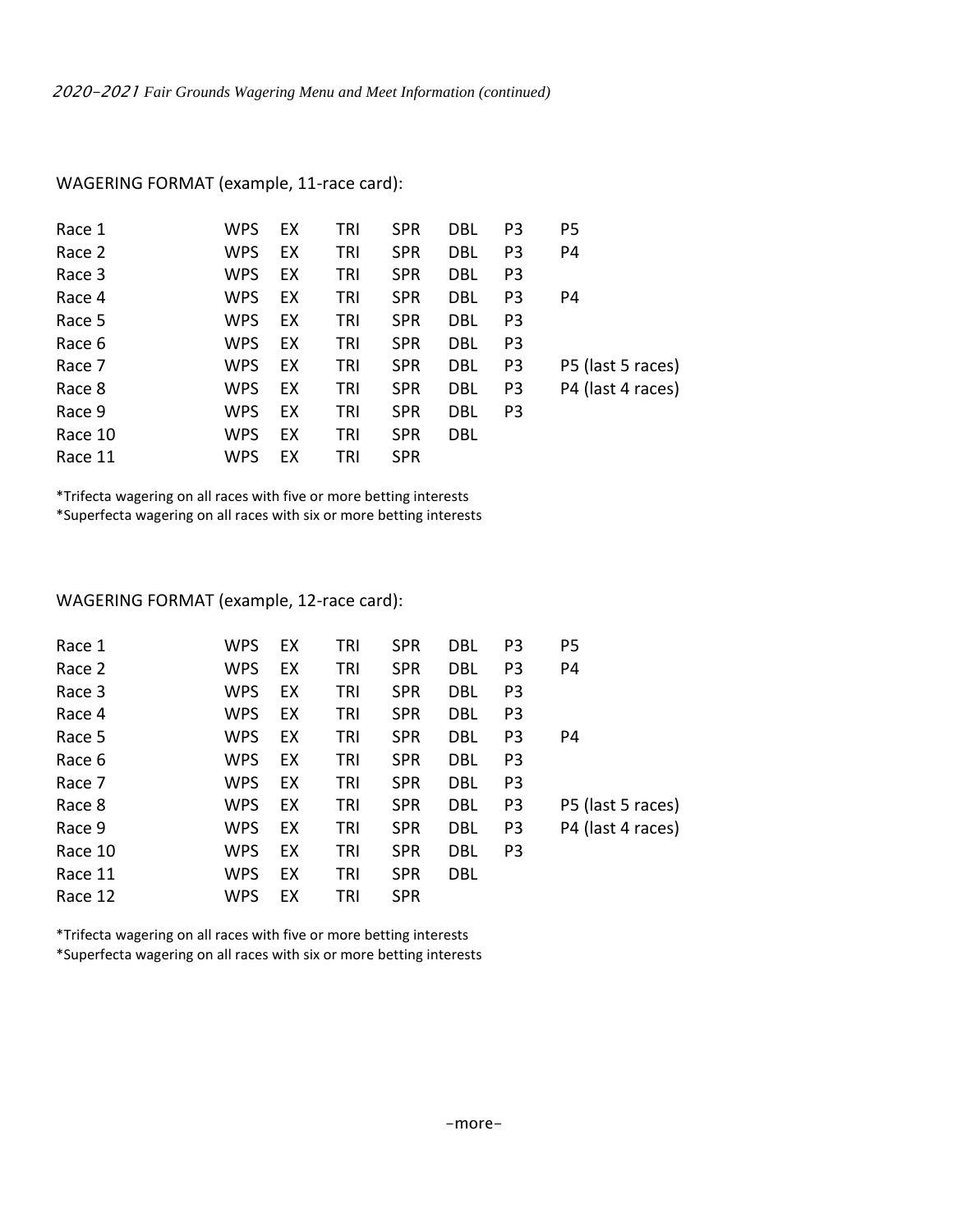| Race 1  | <b>WPS</b> | EX | TRI | <b>SPR</b> | DBL        | P <sub>3</sub> | P <sub>5</sub>    |
|---------|------------|----|-----|------------|------------|----------------|-------------------|
| Race 2  | <b>WPS</b> | EX | TRI | <b>SPR</b> | DBL        | P <sub>3</sub> | P4                |
| Race 3  | <b>WPS</b> | EX | TRI | <b>SPR</b> | DBL        | P <sub>3</sub> |                   |
| Race 4  | <b>WPS</b> | EX | TRI | <b>SPR</b> | DBL        | P <sub>3</sub> | P4                |
| Race 5  | <b>WPS</b> | EX | TRI | <b>SPR</b> | DBL        | P <sub>3</sub> |                   |
| Race 6  | <b>WPS</b> | EX | TRI | <b>SPR</b> | <b>DBL</b> | P <sub>3</sub> |                   |
| Race 7  | <b>WPS</b> | EX | TRI | <b>SPR</b> | DBL        | P <sub>3</sub> | P5 (last 5 races) |
| Race 8  | <b>WPS</b> | EX | TRI | <b>SPR</b> | <b>DBL</b> | P <sub>3</sub> | P4 (last 4 races) |
| Race 9  | <b>WPS</b> | EX | TRI | <b>SPR</b> | DBL        | P <sub>3</sub> |                   |
| Race 10 | <b>WPS</b> | EX | TRI | <b>SPR</b> | DBL        |                |                   |
| Race 11 | <b>WPS</b> | EX | TRI | <b>SPR</b> |            |                |                   |

WAGERING FORMAT (example, 11-race card):

\*Trifecta wagering on all races with five or more betting interests \*Superfecta wagering on all races with six or more betting interests

### WAGERING FORMAT (example, 12-race card):

| WPS        | EX | TRI | <b>SPR</b> | DBL        | P <sub>3</sub> | P <sub>5</sub>    |
|------------|----|-----|------------|------------|----------------|-------------------|
| WPS        | EX | TRI | <b>SPR</b> | DBL        | P <sub>3</sub> | P4                |
| WPS        | EX | TRI | <b>SPR</b> | DBL        | P <sub>3</sub> |                   |
| WPS        | EX | TRI | <b>SPR</b> | DBL        | P <sub>3</sub> |                   |
| WPS        | EX | TRI | <b>SPR</b> | DBL        | P <sub>3</sub> | P4                |
| WPS        | EX | TRI | <b>SPR</b> | DBL        | P <sub>3</sub> |                   |
| <b>WPS</b> | EX | TRI | <b>SPR</b> | <b>DBL</b> | P <sub>3</sub> |                   |
| <b>WPS</b> | EX | TRI | <b>SPR</b> | <b>DBL</b> | P <sub>3</sub> | P5 (last 5 races) |
| <b>WPS</b> | EX | TRI | <b>SPR</b> | DBL        | P <sub>3</sub> | P4 (last 4 races) |
| <b>WPS</b> | EX | TRI | <b>SPR</b> | DBL        | P <sub>3</sub> |                   |
| WPS        | EX | TRI | <b>SPR</b> | <b>DBL</b> |                |                   |
| WPS        | EX | TRI | <b>SPR</b> |            |                |                   |
|            |    |     |            |            |                |                   |

\*Trifecta wagering on all races with five or more betting interests \*Superfecta wagering on all races with six or more betting interests